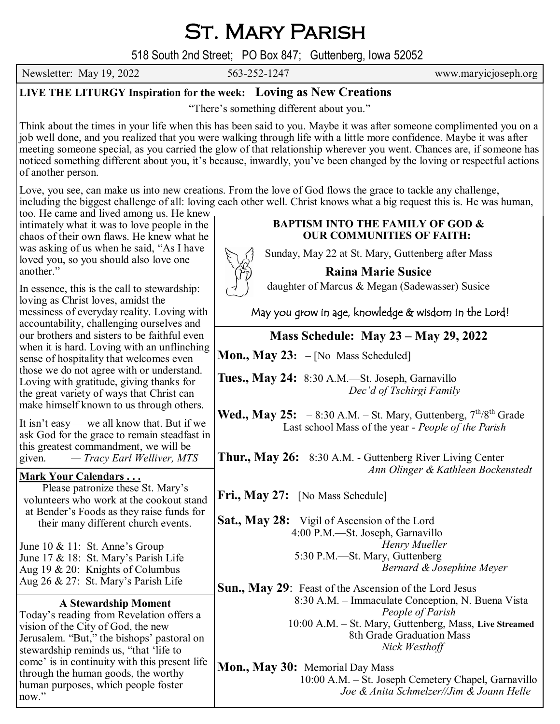# St. Mary Parish

518 South 2nd Street; PO Box 847; Guttenberg, Iowa 52052

Newsletter: May 19, 2022 563-252-1247 www.maryicjoseph.org

## **LIVE THE LITURGY Inspiration for the week: Loving as New Creations**

"There's something different about you."

Think about the times in your life when this has been said to you. Maybe it was after someone complimented you on a job well done, and you realized that you were walking through life with a little more confidence. Maybe it was after meeting someone special, as you carried the glow of that relationship wherever you went. Chances are, if someone has noticed something different about you, it's because, inwardly, you've been changed by the loving or respectful actions of another person.

Love, you see, can make us into new creations. From the love of God flows the grace to tackle any challenge, including the biggest challenge of all: loving each other well. Christ knows what a big request this is. He was human,

too. He came and lived among us. He knew intimately what it was to love people in the chaos of their own flaws. He knew what he was asking of us when he said, "As I have loved you, so you should also love one another."

In essence, this is the call to stewardship: loving as Christ loves, amidst the messiness of everyday reality. Loving with accountability, challenging ourselves and our brothers and sisters to be faithful even when it is hard. Loving with an unflinching sense of hospitality that welcomes even those we do not agree with or understand. Loving with gratitude, giving thanks for the great variety of ways that Christ can make himself known to us through others.

It isn't easy — we all know that. But if we ask God for the grace to remain steadfast in this greatest commandment, we will be given. *— Tracy Earl Welliver, MTS*

### **Mark Your Calendars . . .**

Please patronize these St. Mary's volunteers who work at the cookout stand at Bender's Foods as they raise funds for their many different church events.

June 10 & 11: St. Anne's Group June 17 & 18: St. Mary's Parish Life Aug 19 & 20: Knights of Columbus Aug 26 & 27: St. Mary's Parish Life

### **A Stewardship Moment**

Today's reading from Revelation offers a vision of the City of God, the new Jerusalem. "But," the bishops' pastoral on stewardship reminds us, "that 'life to come' is in continuity with this present life through the human goods, the worthy human purposes, which people foster now."

# **BAPTISM INTO THE FAMILY OF GOD & OUR COMMUNITIES OF FAITH:**

Sunday, May 22 at St. Mary, Guttenberg after Mass

**Raina Marie Susice**

daughter of Marcus & Megan (Sadewasser) Susice

May you grow in age, knowledge & wisdom in the Lord!

# **Mass Schedule: May 23 – May 29, 2022**

**Mon., May 23:** – [No Mass Scheduled]

**Tues., May 24:** 8:30 A.M.—St. Joseph, Garnavillo *Dec'd of Tschirgi Family*

**Wed., May 25:**  $-8:30$  A.M.  $-$  St. Mary, Guttenberg,  $7^{th}/8^{th}$  Grade Last school Mass of the year - *People of the Parish*

**Thur., May 26:** 8:30 A.M. - Guttenberg River Living Center *Ann Olinger & Kathleen Bockenstedt* 

**Fri., May 27:** [No Mass Schedule]

**Sat., May 28:** Vigil of Ascension of the Lord 4:00 P.M.—St. Joseph, Garnavillo  *Henry Mueller* 5:30 P.M.—St. Mary, Guttenberg *Bernard & Josephine Meyer*

**Sun., May 29**: Feast of the Ascension of the Lord Jesus 8:30 A.M. – Immaculate Conception, N. Buena Vista *People of Parish* 10:00 A.M. – St. Mary, Guttenberg, Mass, **Live Streamed** 8th Grade Graduation Mass *Nick Westhoff*

**Mon., May 30:** Memorial Day Mass 10:00 A.M. – St. Joseph Cemetery Chapel, Garnavillo *Joe & Anita Schmelzer//Jim & Joann Helle*